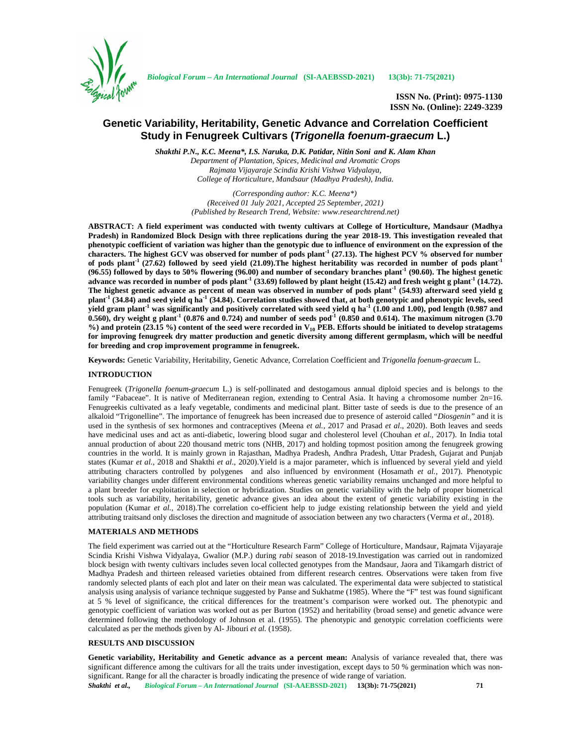

*Biological Forum – An International Journal* **(SI-AAEBSSD-2021) 13(3b): 71-75(2021)**

**ISSN No. (Print): 0975-1130 ISSN No. (Online): 2249-3239**

# **Genetic Variability, Heritability, Genetic Advance and Correlation Coefficient Study in Fenugreek Cultivars (***Trigonella foenum-graecum* **L.)**

*Shakthi P.N., K.C. Meena\*, I.S. Naruka, D.K. Patidar, Nitin Soni and K. Alam Khan Department of Plantation, Spices, Medicinal and Aromatic Crops Rajmata Vijayaraje Scindia Krishi Vishwa Vidyalaya, College of Horticulture, Mandsaur (Madhya Pradesh), India.*

> *(Corresponding author: K.C. Meena\*) (Received 01 July 2021, Accepted 25 September, 2021) (Published by Research Trend, Website: <www.researchtrend.net>)*

**ABSTRACT: A field experiment was conducted with twenty cultivars at College of Horticulture, Mandsaur (Madhya Pradesh) in Randomized Block Design with three replications during the year 2018-19. This investigation revealed that phenotypic coefficient of variation was higher than the genotypic due to influence of environment on the expression of the characters. The highest GCV was observed for number of pods plant-1 (27.13). The highest PCV % observed for number of pods plant-1 (27.62) followed by seed yield (21.09).The highest heritability was recorded in number of pods plant-1 (96.55) followed by days to 50% flowering (96.00) and number of secondary branches plant-1 (90.60). The highest genetic advance was recorded in number of pods plant-1 (33.69) followed by plant height (15.42) and fresh weight g plant-1 (14.72). The highest genetic advance as percent of mean was observed in number of pods plant-1 (54.93) afterward seed yield g plant-1 (34.84) and seed yield q ha-1 (34.84). Correlation studies showed that, at both genotypic and phenotypic levels, seed yield gram plant-1 was significantly and positively correlated with seed yield q ha-1 (1.00 and 1.00), pod length (0.987 and 0.560), dry weight g plant-1 (0.876 and 0.724) and number of seeds pod-1 (0.850 and 0.614). The maximum nitrogen (3.70 %) and protein (23.15 %) content of the seed were recorded in V<sup>10</sup> PEB. Efforts should be initiated to develop stratagems for improving fenugreek dry matter production and genetic diversity among different germplasm, which will be needful for breeding and crop improvement programme in fenugreek.**

**Keywords:** Genetic Variability, Heritability, Genetic Advance, Correlation Coefficient and *Trigonella foenum-graecum* L.

### **INTRODUCTION**

Fenugreek (*Trigonella foenum-graecum* L.) is self-pollinated and destogamous annual diploid species and is belongs to the family "Fabaceae". It is native of Mediterranean region, extending to Central Asia. It having a chromosome number 2n=16. Fenugreekis cultivated as a leafy vegetable, condiments and medicinal plant. Bitter taste of seeds is due to the presence of an alkaloid "Trigonelline". The importance of fenugreek has been increased due to presence of asteroid called "*Diosgenin"* and it is used in the synthesis of sex hormones and contraceptives (Meena *et al.,* 2017 and Prasad *et al*., 2020). Both leaves and seeds have medicinal uses and act as anti-diabetic, lowering blood sugar and cholesterol level (Chouhan *et al.,* 2017). In India total annual production of about 220 thousand metric tons (NHB, 2017) and holding topmost position among the fenugreek growing countries in the world. It is mainly grown in Rajasthan, Madhya Pradesh, Andhra Pradesh, Uttar Pradesh, Gujarat and Punjab states (Kumar *et al.,* 2018 and Shakthi *et al*., 2020).Yield is a major parameter, which is influenced by several yield and yield attributing characters controlled by polygenes and also influenced by environment (Hosamath *et al.,* 2017). Phenotypic variability changes under different environmental conditions whereas genetic variability remains unchanged and more helpful to a plant breeder for exploitation in selection or hybridization. Studies on genetic variability with the help of proper biometrical tools such as variability, heritability, genetic advance gives an idea about the extent of genetic variability existing in the population (Kumar *et al.,* 2018).The correlation co-efficient help to judge existing relationship between the yield and yield attributing traitsand only discloses the direction and magnitude of association between any two characters (Verma *et al.,* 2018).

### **MATERIALS AND METHODS**

The field experiment was carried out at the "Horticulture Research Farm" College of Horticulture, Mandsaur, Rajmata Vijayaraje Scindia Krishi Vishwa Vidyalaya, Gwalior (M.P.) during *rabi* season of 2018-19.Investigation was carried out in randomized block besign with twenty cultivars includes seven local collected genotypes from the Mandsaur, Jaora and Tikamgarh district of Madhya Pradesh and thirteen released varieties obtained from different research centres. Observations were taken from five randomly selected plants of each plot and later on their mean was calculated. The experimental data were subjected to statistical analysis using analysis of variance technique suggested by Panse and Sukhatme (1985). Where the "F" test was found significant at 5 % level of significance, the critical differences for the treatment's comparison were worked out. The phenotypic and genotypic coefficient of variation was worked out as per Burton (1952) and heritability (broad sense) and genetic advance were determined following the methodology of Johnson et al. (1955). The phenotypic and genotypic correlation coefficients were calculated as per the methods given by Al- Jibouri *et al.* (1958).

## **RESULTS AND DISCUSSION**

*Shakthi et al., Biological Forum – An International Journal* **(SI-AAEBSSD-2021) 13(3b): 71-75(2021) 71 Genetic variability, Heritability and Genetic advance as a percent mean:** Analysis of variance revealed that, there was significant difference among the cultivars for all the traits under investigation, except days to 50 % germination which was non significant. Range for all the character is broadly indicating the presence of wide range of variation.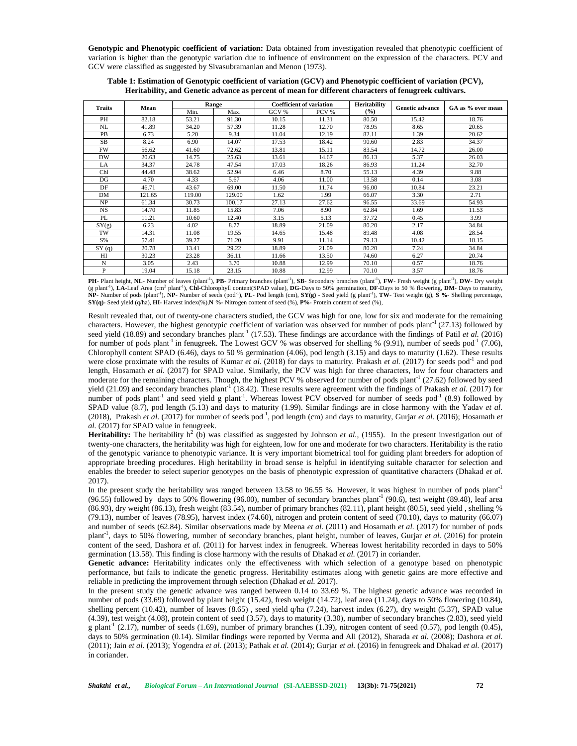**Genotypic and Phenotypic coefficient of variation:** Data obtained from investigation revealed that phenotypic coefficient of variation is higher than the genotypic variation due to influence of environment on the expression of the characters. PCV and GCV were classified as suggested by Sivasubramanian and Menon (1973).

| <b>Traits</b> | Mean   | Range  |        |       | <b>Coefficient of variation</b> | <b>Heritability</b> | <b>Genetic advance</b> | GA as % over mean |  |
|---------------|--------|--------|--------|-------|---------------------------------|---------------------|------------------------|-------------------|--|
|               |        | Min.   | Max.   | GCV % | PCV %                           | (%)                 |                        |                   |  |
| PH            | 82.18  | 53.21  | 91.30  | 10.15 | 11.31                           | 80.50               | 15.42                  | 18.76             |  |
| NL            | 41.89  | 34.20  | 57.39  | 11.28 | 12.70                           | 78.95               | 8.65                   | 20.65             |  |
| PB            | 6.73   | 5.20   | 9.34   | 11.04 | 12.19                           | 82.11               | 1.39                   | 20.62             |  |
| <b>SB</b>     | 8.24   | 6.90   | 14.07  | 17.53 | 18.42                           | 90.60               | 2.83                   | 34.37             |  |
| <b>FW</b>     | 56.62  | 41.60  | 72.62  | 13.81 | 15.11                           | 83.54               | 14.72                  | 26.00             |  |
| <b>DW</b>     | 20.63  | 14.75  | 25.63  | 13.61 | 14.67                           | 86.13               | 5.37                   | 26.03             |  |
| LA            | 34.37  | 24.78  | 47.54  | 17.03 | 18.26                           | 86.93               | 11.24                  | 32.70             |  |
| Chl           | 44.48  | 38.62  | 52.94  | 6.46  | 8.70                            | 55.13               | 4.39                   | 9.88              |  |
| DG            | 4.70   | 4.33   | 5.67   | 4.06  | 11.00                           | 13.58               | 0.14                   | 3.08              |  |
| DF            | 46.71  | 43.67  | 69.00  | 11.50 | 11.74                           | 96.00               | 10.84                  | 23.21             |  |
| DM            | 121.65 | 119.00 | 129.00 | 1.62  | 1.99                            | 66.07               | 3.30                   | 2.71              |  |
| NP            | 61.34  | 30.73  | 100.17 | 27.13 | 27.62                           | 96.55               | 33.69                  | 54.93             |  |
| <b>NS</b>     | 14.70  | 11.85  | 15.83  | 7.06  | 8.90                            | 62.84               | 1.69                   | 11.53             |  |
| PL            | 11.21  | 10.60  | 12.40  | 3.15  | 5.13                            | 37.72               | 0.45                   | 3.99              |  |
| SY(g)         | 6.23   | 4.02   | 8.77   | 18.89 | 21.09                           | 80.20               | 2.17                   | 34.84             |  |
| TW            | 14.31  | 11.08  | 19.55  | 14.65 | 15.48                           | 89.48               | 4.08                   | 28.54             |  |
| S%            | 57.41  | 39.27  | 71.20  | 9.91  | 11.14                           | 79.13               | 10.42                  | 18.15             |  |
| SY(q)         | 20.78  | 13.41  | 29.22  | 18.89 | 21.09                           | 80.20               | 7.24                   | 34.84             |  |
| HI            | 30.23  | 23.28  | 36.11  | 11.66 | 13.50                           | 74.60               | 6.27                   | 20.74             |  |
| N             | 3.05   | 2.43   | 3.70   | 10.88 | 12.99                           | 70.10               | 0.57                   | 18.76             |  |
| P             | 19.04  | 15.18  | 23.15  | 10.88 | 12.99                           | 70.10               | 3.57                   | 18.76             |  |

**Table 1: Estimation of Genotypic coefficient of variation (GCV) and Phenotypic coefficient of variation (PCV), Heritability, and Genetic advance as percent of mean for different characters of fenugreek cultivars.**

PH- Plant height, NL- Number of leaves (plant<sup>-1</sup>), PB- Primary branches (plant<sup>-1</sup>), SB- Secondary branches (plant<sup>-1</sup>), FW- Fresh weight (g plant<sup>-1</sup>), DW- Dry weight (g plant-1), **LA-**Leaf Area (cm<sup>2</sup> plant-1), **Chl-**Chlorophyll content(SPAD value), **DG-**Days to 50% germination, **DF**-Days to 50 % flowering, **DM**- Days to maturity, **NP**- Number of pods (plant-1), **NP**- Number of seeds (pod-1), **PL**- Pod length (cm), **SY(g)** - Seed yield (g plant-1), **TW**- Test weight (g), **S %**- Shelling percentage, **SY(q)**- Seed yield (q/ha), **HI**- Harvest index(%),**N %**- Nitrogen content of seed (%), **P%**- Protein content of seed (%),

Result revealed that, out of twenty-one characters studied, the GCV was high for one, low for six and moderate for the remaining characters. However, the highest genotypic coefficient of variation was observed for number of pods plant<sup>-1</sup> (27.13) followed by seed yield  $(18.89)$  and secondary branches plant<sup>-1</sup> (17.53). These findings are accordance with the findings of Patil *et al.* (2016) for number of pods plant<sup>-1</sup> in fenugreek. The Lowest GCV % was observed for shelling % (9.91), number of seeds pod<sup>-1</sup> (7.06), Chlorophyll content SPAD (6.46), days to 50 % germination (4.06), pod length (3.15) and days to maturity (1.62). These results were close proximate with the results of Kumar *et al.* (2018) for days to maturity. Prakash *et al.* (2017) for seeds pod-1 and pod length, Hosamath *et al.* (2017) for SPAD value. Similarly, the PCV was high for three characters, low for four characters and moderate for the remaining characters. Though, the highest PCV % observed for number of pods plant<sup>-1</sup> (27.62) followed by seed yield (21.09) and secondary branches plant<sup>-1</sup> (18.42). These results were agreement with the findings of Prakash *et al.* (2017) for number of pods plant<sup>-1</sup> and seed yield g plant<sup>-1</sup>. Whereas lowest PCV observed for number of seeds pod<sup>-1</sup> (8.9) followed by SPAD value (8.7), pod length (5.13) and days to maturity (1.99). Similar findings are in close harmony with the Yadav *et al.* (2018), Prakash *et al.* (2017) for number of seeds pod<sup>-1</sup>, pod length (cm) and days to maturity, Gurjar *et al.* (2016); Hosamath *et al.* (2017) for SPAD value in fenugreek.

**Heritability:** The heritability  $h^2$  (b) was classified as suggested by Johnson *et al.*, (1955). In the present investigation out of twenty-one characters, the heritability was high for eighteen, low for one and moderate for two characters. Heritability is the ratio of the genotypic variance to phenotypic variance. It is very important biometrical tool for guiding plant breeders for adoption of appropriate breeding procedures. High heritability in broad sense is helpful in identifying suitable character for selection and enables the breeder to select superior genotypes on the basis of phenotypic expression of quantitative characters (Dhakad *et al.*) 2017).

In the present study the heritability was ranged between 13.58 to 96.55 %. However, it was highest in number of pods plant<sup>-1</sup>  $(96.55)$  followed by days to 50% flowering  $(96.00)$ , number of secondary branches plant<sup>-1</sup>  $(90.6)$ , test weight  $(89.48)$ , leaf area (86.93), dry weight (86.13), fresh weight (83.54), number of primary branches (82.11), plant height (80.5), seed yield , shelling % (79.13), number of leaves (78.95), harvest index (74.60), nitrogen and protein content of seed (70.10), days to maturity (66.07) and number of seeds (62.84). Similar observations made by Meena *et al.* (2011) and Hosamath *et al.* (2017) for number of pods plant<sup>-1</sup>, days to 50% flowering, number of secondary branches, plant height, number of leaves, Gurjar *et al.* (2016) for protein content of the seed, Dashora *et al.* (2011) for harvest index in fenugreek. Whereas lowest heritability recorded in days to 50% germination (13.58). This finding is close harmony with the results of Dhakad *et al.* (2017) in coriander.

**Genetic advance:** Heritability indicates only the effectiveness with which selection of a genotype based on phenotypic performance, but fails to indicate the genetic progress. Heritability estimates along with genetic gains are more effective and reliable in predicting the improvement through selection (Dhakad *et al.* 2017).

In the present study the genetic advance was ranged between 0.14 to 33.69 %. The highest genetic advance was recorded in number of pods (33.69) followed by plant height (15.42), fresh weight (14.72), leaf area (11.24), days to 50% flowering (10.84), shelling percent (10.42), number of leaves  $(8.65)$ , seed yield q/ha  $(7.24)$ , harvest index  $(6.27)$ , dry weight  $(5.37)$ , SPAD value (4.39), test weight (4.08), protein content of seed (3.57), days to maturity (3.30), number of secondary branches (2.83), seed yield g plant<sup>-1</sup> (2.17), number of seeds (1.69), number of primary branches (1.39), nitrogen content of seed (0.57), pod length (0.45), days to 50% germination (0.14). Similar findings were reported by Verma and Ali (2012), Sharada *et al.* (2008); Dashora *et al.* (2011); Jain *et al.* (2013); Yogendra *et al.* (2013); Pathak *et al.* (2014); Gurjar *et al.* (2016) in fenugreek and Dhakad *et al.* (2017) in coriander.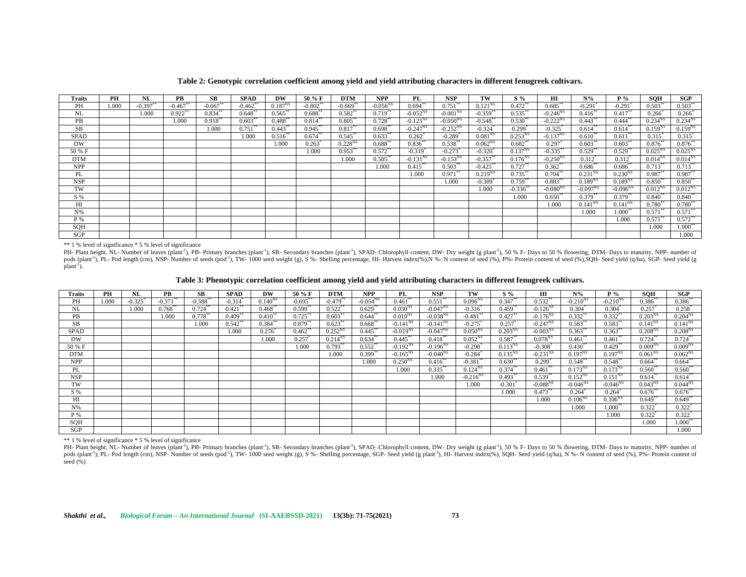| Traits      | PH   | NL         | PB         | SB.          | <b>SPAD</b>           | DW           | 50 % F       | <b>DTM</b>   | <b>NPP</b>            | PL                    | <b>NSP</b>    | TW                     | $S\%$                  | НI                | $N\%$                 | $P_{\alpha}$          | SOH                   | SGP                  |
|-------------|------|------------|------------|--------------|-----------------------|--------------|--------------|--------------|-----------------------|-----------------------|---------------|------------------------|------------------------|-------------------|-----------------------|-----------------------|-----------------------|----------------------|
| PН          | 000. | $-0.397**$ | $-0.467**$ | $-0.667**$   | $-0.462**$            | $0.187^{NS}$ | $-0.802**$   | $-0.669$ *   | $-0.056^{NS}$         | $0.694*$              | $0.751***$    | $0.121^{NS}$           | $0.472***$             | $0.685***$        | $-0.291$              | $-0.291$ <sup>*</sup> | $0.503***$            | $0.503**$            |
| NL          |      | 1.000      | 0.922      | $0.834*$     | $0.648***$            | $0.565***$   | $0.688^{**}$ | $0.582$ **   | $0.719$ <sup>**</sup> | $-0.052^{NS}$         | $-0.001^{NS}$ | $-0.359$ **            | $0.535***$             | $-0.246^{\rm NS}$ | $0.416$ <sup>**</sup> | $0.417$ **            | 0.266                 | 0.266                |
| PB          |      |            | 1.000      | $0.918^{**}$ | $0.603**$             | $0.488***$   | 0.814        | $0.805***$   | $0.728$ <sup>**</sup> | $-0.125^{NS}$         | $-0.050^{NS}$ | $-0.548**$             | $0.530**$              | $-0.222^{NS}$     | $0.443***$            | $0.444$ <sup>**</sup> | 0.234 <sup>NS</sup>   | 0.234 <sup>NS</sup>  |
| <b>SB</b>   |      |            |            | 1.000        | $0.751$ <sup>**</sup> | $0.443**$    | $0.945$ **   | $0.817**$    | $0.698**$             | $-0.247^{NS}$         | $-0.252^{NS}$ | $-0.324$               | 0.299                  | $-0.325$          | 0.614                 | $0.614^{\degree}$     | $0.159^{NS}$          | $0.159^{NS}$         |
| <b>SPAD</b> |      |            |            |              | 1.000                 | 0.516        | 0.674        | $0.545$ **   | $0.633***$            | 0.262                 | $-0.289$      | 0.081 <sup>NS</sup>    | $0.253^{NS}$           | $-0.137^{NS}$     | $0.610^{**}$          | 0.611                 | 0.315                 | $0.315$ <sup>*</sup> |
| DW          |      |            |            |              |                       | 1.000        | 0.263        | $0.228^{NS}$ | $0.688$ <sup>**</sup> | $0.836^*$             | 0.538         | $0.062^{NS}$           | $0.682$ **             | 0.297             | $0.603***$            | $0.603^{\circ}$       | $0.876^{**}$          | $0.876**$            |
| 50 % F      |      |            |            |              |                       |              | 1.000        | $0.953***$   | $0.572***$            | $-0.319$ <sup>*</sup> | $-0.273$      | $-0.320$               | $0.137^{NS}$           | $-0.335$ **       | $0.529$ **            | 0.529                 | $0.025^{NS}$          | $0.025^{NS}$         |
| <b>DTM</b>  |      |            |            |              |                       |              |              | 1.000        | $0.505***$            | $-0.131NS$            | $-0.153^{NS}$ | $-0.357**$             | $0.176^{NS}$           | $-0.250^{NS}$     | 0.312                 | $0.312$ <sup>*</sup>  | $0.014^{NS}$          | $0.014^{NS}$         |
| <b>NPP</b>  |      |            |            |              |                       |              |              |              | 1.000                 | $0.415$ **            | $0.503***$    | $-0.425$ <sup>**</sup> | $0.727***$             | $0.362$ **        | $0.686^{**}$          | $0.686^{**}$          | $0.713$ <sup>**</sup> | $0.713***$           |
| PL          |      |            |            |              |                       |              |              |              |                       | 1.000                 | $0.971***$    | $0.219^{NS}$           | $0.735***$             | $0.704**$         | 0.231 <sup>NS</sup>   | $0.230^{NS}$          | $0.987**$             | $0.987**$            |
| NSP         |      |            |            |              |                       |              |              |              |                       |                       | 1.000         | $-0.309$               | $0.759$ **             | $0.883***$        | $0.189^{NS}$          | $0.189^{NS}$          | $0.850**$             | $0.850**$            |
| TW          |      |            |            |              |                       |              |              |              |                       |                       |               | 1.000                  | $-0.336$ <sup>**</sup> | $-0.080^{NS}$     | $-0.097^{NS}$         | $-0.096^{NS}$         | $0.012^{NS}$          | $0.012^{NS}$         |
| S %         |      |            |            |              |                       |              |              |              |                       |                       |               |                        | 1.000                  | $0.650**$         | $0.379**$             | $0.379**$             | $0.840**$             | $0.840**$            |
| HI          |      |            |            |              |                       |              |              |              |                       |                       |               |                        |                        | 1.000             | $0.141^{N}$           | $0.141^{NS}$          | $0.780^{**}$          | $0.780**$            |
| $N\%$       |      |            |            |              |                       |              |              |              |                       |                       |               |                        |                        |                   | 1.000                 | $1.000^*$             | $0.571**$             | $0.571**$            |
| P %         |      |            |            |              |                       |              |              |              |                       |                       |               |                        |                        |                   |                       | 1.000                 | 0.571                 | $0.572**$            |
| <b>SOH</b>  |      |            |            |              |                       |              |              |              |                       |                       |               |                        |                        |                   |                       |                       | 1.000                 | $1.000**$            |
| <b>SGP</b>  |      |            |            |              |                       |              |              |              |                       |                       |               |                        |                        |                   |                       |                       |                       | 1.000                |

**Table 2: Genotypic correlation coefficient among yield and yield attributing characters in different fenugreek cultivars.**

\*\* 1 % level of significance \* 5 % level of significance

PH- Plant height, NL- Number of leaves (plant<sup>-1</sup>), PB- Primary branches (plant<sup>-1</sup>), SB- Secondary branches (plant<sup>-1</sup>), SB- Secondary branches (plant<sup>-1</sup>), SPAD- Chlorophyll content, DW- Dry weight (g plant<sup>-1</sup>), 50 % Fpods (plant<sup>1</sup>), PL- Pod length (cm), NSP- Number of seeds (pod<sup>-1</sup>), TW- 1000 seed weight (g), S %- Shelling percentage, HI- Harvest index(%), N %- N content of seed (%), P%- Protein content of seed (%), SQH- Seed yield (  $plan<sup>1</sup>$ ).

**Table 3: Phenotypic correlation coefficient among yield and yield attributing characters in different fenugreek cultivars.**

| <b>Traits</b> | PH    | NL                    | PB          | SВ                     | <b>SPAD</b> | DW                | 50 % F      | <b>DTM</b>   | <b>NPP</b>    | PL            | <b>NSP</b>    | TW                     | $S\%$                 | HІ                   | $N\%$                | $P_{\alpha}$         | SOH                  | SGP                  |
|---------------|-------|-----------------------|-------------|------------------------|-------------|-------------------|-------------|--------------|---------------|---------------|---------------|------------------------|-----------------------|----------------------|----------------------|----------------------|----------------------|----------------------|
| PН            | 1.000 | $-0.325$ <sup>*</sup> | $-0.371$ ** | $-0.588$ <sup>**</sup> | $-0.314$    | $0.140^{NS}$      | $-0.695***$ | $-0.479**$   | $-0.054^{NS}$ | $0.461**$     | $0.551**$     | $0.096^{NS}$           | $0.347***$            | $0.532**$            | $-0.210^{NS}$        | $-0.210^{NS}$        | $0.386***$           | $0.386**$            |
| NL            |       | 1.000                 | $0.768***$  | $0.724**$              | $0.421$ **  | $0.468**$         | $0.599**$   | $0.522$ **   | $0.629**$     | $0.030^{NS}$  | $-0.047^{NS}$ | $-0.316^*$             | $0.459**$             | $-0.126^{NS}$        | $0.304^{\circ}$      | $0.304^*$            | $0.257$ <sup>*</sup> | $0.258$ <sup>*</sup> |
| PB            |       |                       | 1.000       | $0.778^{**}$           | $0.409$ **  | $0.410^{**}$      | $0.725***$  | $0.603***$   | $0.644$ **    | $0.010^{NS}$  | $-0.038^{NS}$ | $-0.481$ <sup>**</sup> | $0.427**$             | $-0.176^{NS}$        | $0.332**$            | $0.332**$            | $0.203^{NS}$         | $0.204^{NS}$         |
| SB            |       |                       |             | 1.000                  | $0.542**$   | $0.384^{**}$      | $0.879**$   | $0.623**$    | $0.668***$    | $-0.141^{NS}$ | $-0.141^{NS}$ | $-0.275$               | 0.257                 | $-0.247^{NS}$        | $0.583**$            | $0.583**$            | $0.141^{NS}$         | $0.141^{NS}$         |
| <b>SPAD</b>   |       |                       |             |                        | 1.000       | $0.276^{\degree}$ | $0.462$ **  | $0.252^{NS}$ | $0.445***$    | $-0.019^{NS}$ | $-0.047^{NS}$ | $0.050^{NS}$           | $0.203^{NS}$          | $-0.003NS$           | $0.363***$           | $0.363**$            | $0.208^{NS}$         | $0.208^{NS}$         |
| <b>DW</b>     |       |                       |             |                        |             | 1.000             | $0.257*$    | $0.214^{NS}$ | $0.634**$     | $0.445***$    | $0.418***$    | $0.052^{NS}$           | $0.587**$             | $0.078^{NS}$         | $0.461**$            | $0.461**$            | $0.724***$           | $0.724***$           |
| 50 % F        |       |                       |             |                        |             |                   | 1.000       | $0.793**$    | $0.552**$     | $-0.192NS$    | $-0.196^{NS}$ | $-0.298$ <sup>*</sup>  | $0.113^{NS}$          | $-0.308^*$           | $0.430**$            | $0.429**$            | 0.009 <sup>NS</sup>  | 0.009 <sup>NS</sup>  |
| <b>DTM</b>    |       |                       |             |                        |             |                   |             | 1.000        | $0.399**$     | $-0.165^{NS}$ | $-0.040^{NS}$ | $-0.284$               | $0.135^{NS}$          | $-0.231^{NS}$        | $0.197^{NS}$         | $0.197^{NS}$         | 0.061 <sup>NS</sup>  | $0.062^{NS}$         |
| <b>NPP</b>    |       |                       |             |                        |             |                   |             |              | 1.000         | $0.250^{NS}$  | $0.416**$     | $-0.381**$             | $0.630**$             | $0.299$ <sup>*</sup> | $0.548**$            | $0.548**$            | $0.664**$            | $0.664**$            |
| PL            |       |                       |             |                        |             |                   |             |              |               | 1.000         | $0.335***$    | $0.124^{NS}$           | 0.374                 | $0.461**$            | $0.173^{NS}$         | $0.173^{NS}$         | $0.560^{*}$          | $0.560**$            |
| <b>NSP</b>    |       |                       |             |                        |             |                   |             |              |               |               | 1.000         | $-0.216^{NS}$          | $0.493**$             | $0.539**$            | $0.152^{NS}$         | $0.151^{NS}$         | $0.614***$           | $0.614**$            |
| TW            |       |                       |             |                        |             |                   |             |              |               |               |               | 1.000                  | $-0.301$ <sup>*</sup> | $-0.088^{NS}$        | $-0.046^{NS}$        | $-0.046^{NS}$        | 0.043 <sup>NS</sup>  | $0.044^{NS}$         |
| S %           |       |                       |             |                        |             |                   |             |              |               |               |               |                        | 1.000                 | $0.473**$            | $0.264$ <sup>*</sup> | $0.264$ <sup>*</sup> | $0.676**$            | $0.676**$            |
| ΗΙ            |       |                       |             |                        |             |                   |             |              |               |               |               |                        |                       | 1.000                | $0.106^{NS}$         | $0.106^{NS}$         | $0.649^{\degree}$    | $0.649**$            |
| $N\%$         |       |                       |             |                        |             |                   |             |              |               |               |               |                        |                       |                      | 1.000                | $1.000**$            | $0.322$ <sup>*</sup> | $0.322$ <sup>*</sup> |
| P %           |       |                       |             |                        |             |                   |             |              |               |               |               |                        |                       |                      |                      | 1.000                | $0.322$ <sup>*</sup> | $0.322*$             |
| <b>SQH</b>    |       |                       |             |                        |             |                   |             |              |               |               |               |                        |                       |                      |                      |                      | 1.000                | $1.000**$            |
| SGP           |       |                       |             |                        |             |                   |             |              |               |               |               |                        |                       |                      |                      |                      |                      | 1.000                |

\*\* 1 % level of significance \* 5 % level of significance

PH- Plant height, NL- Number of leaves (plant<sup>-1</sup>), PB- Primary branches (plant<sup>-1</sup>), SB- Secondary branches (plant<sup>-1</sup>), SBD- Chlorophyll content, DW- Dry weight (g plant<sup>-1</sup>), 50 % F- Days to 50 % flowering, DTM- Days to pods (plant<sup>-1</sup>), PL- Pod length (cm), NSP- Number of seeds (pod<sup>-1</sup>), TW- 1000 seed weight (g), S %- Shelling percentage, SGP- Seed yield (g plant<sup>-1</sup>), HL- Harvest index(%), SQH- Seed yield (q/ha), N %- N content of seed seed  $(\frac{9}{6})$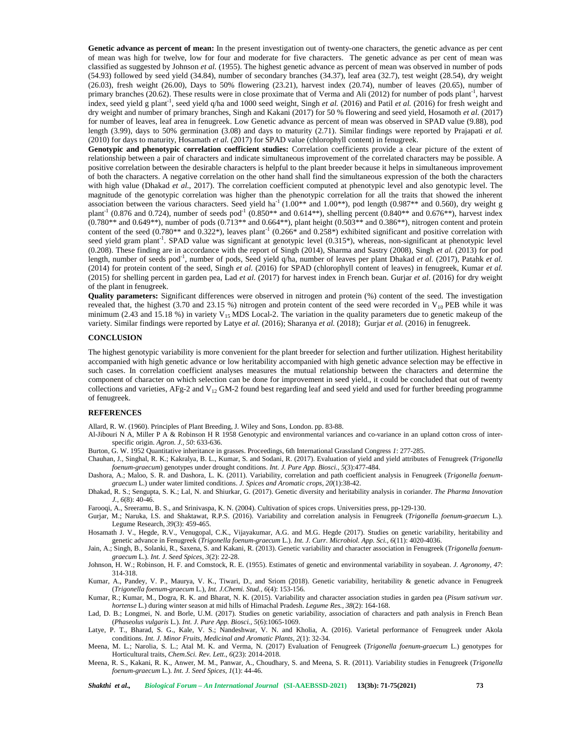**Genetic advance as percent of mean:** In the present investigation out of twenty-one characters, the genetic advance as per cent of mean was high for twelve, low for four and moderate for five characters. The genetic advance as per cent of mean was classified as suggested by Johnson *et al.* (1955). The highest genetic advance as percent of mean was observed in number of pods (54.93) followed by seed yield (34.84), number of secondary branches (34.37), leaf area (32.7), test weight (28.54), dry weight  $(26.03)$ , fresh weight  $(26.00)$ , Days to 50% flowering  $(23.21)$ , harvest index  $(20.74)$ , number of leaves  $(20.65)$ , number of primary branches (20.62). These results were in close proximate that of Verma and Ali (2012) for number of pods plant<sup>-1</sup>, harvest index, seed yield g plant<sup>-1</sup>, seed yield q/ha and 1000 seed weight, Singh *et al.* (2016) and Patil *et al.* (2016) for fresh weight and dry weight and number of primary branches, Singh and Kakani (2017) for 50 % flowering and seed yield, Hosamoth *et al.* (2017) for number of leaves, leaf area in fenugreek. Low Genetic advance as percent of mean was observed in SPAD value (9.88), pod length (3.99), days to 50% germination (3.08) and days to maturity (2.71). Similar findings were reported by Prajapati *et al.* (2010) for days to maturity, Hosamath *et al.* (2017) for SPAD value (chlorophyll content) in fenugreek.

**Genotypic and phenotypic correlation coefficient studies:** Correlation coefficients provide a clear picture of the extent of relationship between a pair of characters and indicate simultaneous improvement of the correlated characters may be possible. A positive correlation between the desirable characters is helpful to the plant breeder because it helps in simultaneous improvement of both the characters. A negative correlation on the other hand shall find the simultaneous expression of the both the characters with high value (Dhakad *et al.,* 2017). The correlation coefficient computed at phenotypic level and also genotypic level. The magnitude of the genotypic correlation was higher than the phenotypic correlation for all the traits that showed the inherent association between the various characters. Seed yield ha<sup>-1</sup> (1.00\*\* and 1.00\*\*), pod length (0.987\*\* and 0.560), dry weight g plant<sup>-1</sup> (0.876 and 0.724), number of seeds pod<sup>-1</sup> (0.850\*\* and 0.614\*\*), shelling percent (0.840\*\* and 0.676\*\*), harvest index (0.780\*\* and 0.649\*\*), number of pods (0.713\*\* and 0.664\*\*), plant height (0.503\*\* and 0.386\*\*), nitrogen content and protein content of the seed (0.780\*\* and 0.322\*), leaves plant<sup>-1</sup> (0.266\* and 0.258\*) exhibited significant and positive correlation with seed yield gram plant<sup>-1</sup>. SPAD value was significant at genotypic level (0.315\*), whereas, non-significant at phenotypic level (0.208). These finding are in accordance with the report of Singh (2014), Sharma and Sastry (2008), Singh *et al.* (2013) for pod length, number of seeds pod<sup>-1</sup>, number of pods, Seed yield q/ha, number of leaves per plant Dhakad *et al.* (2017), Patahk *et al.* (2014) for protein content of the seed, Singh *et al.* (2016) for SPAD (chlorophyll content of leaves) in fenugreek, Kumar *et al.* (2015) for shelling percent in garden pea, Lad *et al.* (2017) for harvest index in French bean. Gurjar *et al*. (2016) for dry weight of the plant in fenugreek.

**Quality parameters:** Significant differences were observed in nitrogen and protein (%) content of the seed. The investigation revealed that, the highest (3.70 and 23.15 %) nitrogen and protein content of the seed were recorded in  $V_{10}$  PEB while it was minimum (2.43 and 15.18 %) in variety  $V_{15}$  MDS Local-2. The variation in the quality parameters due to genetic makeup of the variety. Similar findings were reported by Latye *et al.* (2016); Sharanya *et al.* (2018); Gurjar *et al.* (2016) in fenugreek.

### **CONCLUSION**

The highest genotypic variability is more convenient for the plant breeder for selection and further utilization. Highest heritability accompanied with high genetic advance or low heritability accompanied with high genetic advance selection may be effective in such cases. In correlation coefficient analyses measures the mutual relationship between the characters and determine the component of character on which selection can be done for improvement in seed yield., it could be concluded that out of twenty collections and varieties, AFg-2 and  $V_{12}$  GM-2 found best regarding leaf and seed yield and used for further breeding programme of fenugreek.

### **REFERENCES**

Allard, R. W. (1960). Principles of Plant Breeding, J. Wiley and Sons, London. pp. 83-88.

Al-Jibouri N A, Miller P A & Robinson H R 1958 Genotypic and environmental variances and co-variance in an upland cotton cross of inter specific origin. *Agron. J., 50*: 633-636.

Burton, G. W. 1952 Quantitative inheritance in grasses. Proceedings, 6th International Grassland Congress *1*: 277-285.

- Chauhan, J., Singhal, R. K.; Kakralya, B. L., Kumar, S. and Sodani, R. (2017). Evaluation of yield and yield attributes of Fenugreek (*Trigonella foenum-graecum*) genotypes under drought conditions. *Int. J. Pure App. Biosci., 5*(3):477-484.
- Dashora, A.; Maloo, S. R. and Dashora, L. K. (2011). Variability, correlation and path coefficient analysis in Fenugreek (*Trigonella foenum graecum* L.) under water limited conditions. *J. Spices and Aromatic crops*, *20*(1):38-42.
- Dhakad, R. S.; Sengupta, S. K.; Lal, N. and Shiurkar, G. (2017). Genetic diversity and heritability analysis in coriander. *The Pharma Innovation J., 6*(8): 40-46.

Farooqi, A., Sreeramu, B. S., and Srinivaspa, K. N. (2004). Cultivation of spices crops. Universities press, pp-129-130.

Gurjar, M.; Naruka, I.S. and Shaktawat, R.P.S. (2016). Variability and correlation analysis in Fenugreek (*Trigonella foenum-graecum* L.). Legume Research, *39*(3): 459-465.

Hosamath J. V., Hegde, R.V., Venugopal, C.K., Vijayakumar, A.G. and M.G. Hegde (2017). Studies on genetic variability, heritability and genetic advance in Fenugreek (*Trigonella foenum-graecum* L.). *Int. J. Curr. Microbiol. App. Sci., 6*(11): 4020-4036.

Jain, A.; Singh, B., Solanki, R., Saxena, S. and Kakani, R. (2013). Genetic variability and character association in Fenugreek (*Trigonella foenum graecum* L.). *Int. J. Seed Spices*, *3*(2): 22-28.

Johnson, H. W.; Robinson, H. F. and Comstock, R. E. (1955). Estimates of genetic and environmental variability in soyabean. *J. Agronomy, 47*: 314-318.

- Kumar, A., Pandey, V. P., Maurya, V. K., Tiwari, D., and Sriom (2018). Genetic variability, heritability & genetic advance in Fenugreek (*Trigonella foenum-graecum* L.), *Int. J.Chemi. Stud., 6*(4): 153-156.
- Kumar, R.; Kumar, M., Dogra, R. K. and Bharat, N. K. (2015). Variability and character association studies in garden pea (*Pisum sativum var. hortense* L.) during winter season at mid hills of Himachal Pradesh. *Legume Res.*, *38*(2): 164-168.
- Lad, D. B.; Longmei, N. and Borle, U.M. (2017). Studies on genetic variability, association of characters and path analysis in French Bean (*Phaseolus vulgaris* L*.*). *Int. J. Pure App. Biosci., 5*(6):1065-1069.
- Latye, P. T., Bharad, S. G., Kale, V. S.; Nandeshwar, V. N. and Kholia, A. (2016). Varietal performance of Fenugreek under Akola conditions. *Int. J. Minor Fruits, Medicinal and Aromatic Plants, 2*(1): 32-34.
- Meena, M. L.; Narolia, S. L.; Atal M. K. and Verma, N. (2017) Evaluation of Fenugreek (*Trigonella foenum-graecum* L.) genotypes for Horticultural traits, *Chem.Sci. Rev. Lett.*, *6*(23): 2014-2018.
- Meena, R. S., Kakani, R. K., Anwer, M. M., Panwar, A., Choudhary, S. and Meena, S. R. (2011). Variability studies in Fenugreek (*Trigonella foenum-graecum* L.). *Int. J. Seed Spices*, *1*(1): 44-46.

*Shakthi et al., Biological Forum – An International Journal* **(SI-AAEBSSD-2021) 13(3b): 71-75(2021) 73**